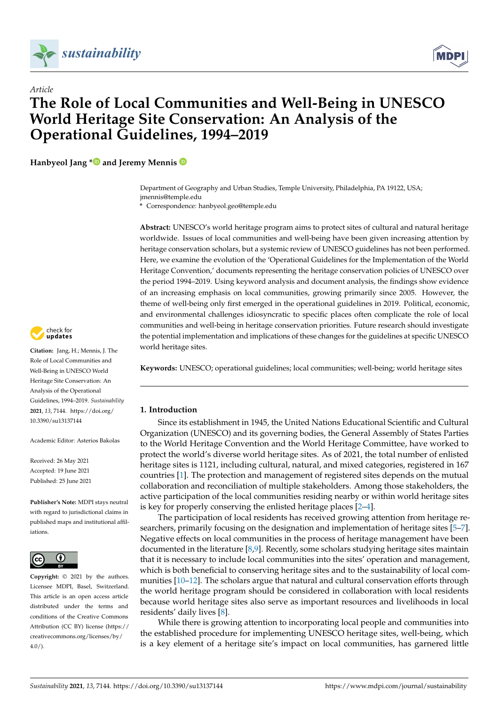

*Article*



# **The Role of Local Communities and Well-Being in UNESCO World Heritage Site Conservation: An Analysis of the Operational Guidelines, 1994–2019**

**Hanbyeol Jang [\\*](https://orcid.org/0000-0003-4203-3620) and Jeremy Mennis**

Department of Geography and Urban Studies, Temple University, Philadelphia, PA 19122, USA; jmennis@temple.edu

**\*** Correspondence: hanbyeol.geo@temple.edu

**Abstract:** UNESCO's world heritage program aims to protect sites of cultural and natural heritage worldwide. Issues of local communities and well-being have been given increasing attention by heritage conservation scholars, but a systemic review of UNESCO guidelines has not been performed. Here, we examine the evolution of the 'Operational Guidelines for the Implementation of the World Heritage Convention,' documents representing the heritage conservation policies of UNESCO over the period 1994–2019. Using keyword analysis and document analysis, the findings show evidence of an increasing emphasis on local communities, growing primarily since 2005. However, the theme of well-being only first emerged in the operational guidelines in 2019. Political, economic, and environmental challenges idiosyncratic to specific places often complicate the role of local communities and well-being in heritage conservation priorities. Future research should investigate the potential implementation and implications of these changes for the guidelines at specific UNESCO world heritage sites.

**Keywords:** UNESCO; operational guidelines; local communities; well-being; world heritage sites

# **1. Introduction**

Since its establishment in 1945, the United Nations Educational Scientific and Cultural Organization (UNESCO) and its governing bodies, the General Assembly of States Parties to the World Heritage Convention and the World Heritage Committee, have worked to protect the world's diverse world heritage sites. As of 2021, the total number of enlisted heritage sites is 1121, including cultural, natural, and mixed categories, registered in 167 countries [\[1\]](#page-10-0). The protection and management of registered sites depends on the mutual collaboration and reconciliation of multiple stakeholders. Among those stakeholders, the active participation of the local communities residing nearby or within world heritage sites is key for properly conserving the enlisted heritage places [\[2](#page-10-1)[–4\]](#page-10-2).

The participation of local residents has received growing attention from heritage researchers, primarily focusing on the designation and implementation of heritage sites [\[5](#page-10-3)[–7\]](#page-10-4). Negative effects on local communities in the process of heritage management have been documented in the literature [\[8](#page-10-5)[,9\]](#page-10-6). Recently, some scholars studying heritage sites maintain that it is necessary to include local communities into the sites' operation and management, which is both beneficial to conserving heritage sites and to the sustainability of local communities [\[10–](#page-10-7)[12\]](#page-10-8). The scholars argue that natural and cultural conservation efforts through the world heritage program should be considered in collaboration with local residents because world heritage sites also serve as important resources and livelihoods in local residents' daily lives [\[8\]](#page-10-5).

While there is growing attention to incorporating local people and communities into the established procedure for implementing UNESCO heritage sites, well-being, which is a key element of a heritage site's impact on local communities, has garnered little



**Citation:** Jang, H.; Mennis, J. The Role of Local Communities and Well-Being in UNESCO World Heritage Site Conservation: An Analysis of the Operational Guidelines, 1994–2019. *Sustainability* **2021**, *13*, 7144. [https://doi.org/](https://doi.org/10.3390/su13137144) [10.3390/su13137144](https://doi.org/10.3390/su13137144)

Academic Editor: Asterios Bakolas

Received: 26 May 2021 Accepted: 19 June 2021 Published: 25 June 2021

**Publisher's Note:** MDPI stays neutral with regard to jurisdictional claims in published maps and institutional affiliations.



**Copyright:** © 2021 by the authors. Licensee MDPI, Basel, Switzerland. This article is an open access article distributed under the terms and conditions of the Creative Commons Attribution (CC BY) license (https:/[/](https://creativecommons.org/licenses/by/4.0/) [creativecommons.org/licenses/by/](https://creativecommons.org/licenses/by/4.0/)  $4.0/$ ).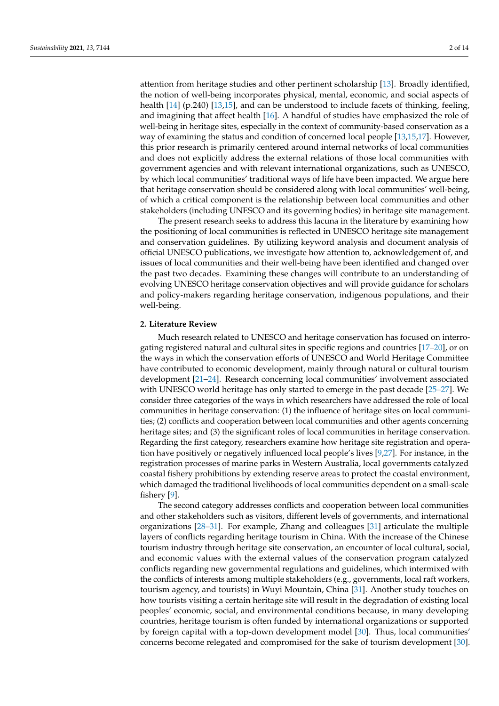attention from heritage studies and other pertinent scholarship [\[13\]](#page-10-9). Broadly identified, the notion of well-being incorporates physical, mental, economic, and social aspects of health [\[14\]](#page-10-10) (p.240) [\[13,](#page-10-9)[15\]](#page-10-11), and can be understood to include facets of thinking, feeling, and imagining that affect health [\[16\]](#page-10-12). A handful of studies have emphasized the role of well-being in heritage sites, especially in the context of community-based conservation as a way of examining the status and condition of concerned local people [\[13,](#page-10-9)[15](#page-10-11)[,17\]](#page-10-13). However, this prior research is primarily centered around internal networks of local communities and does not explicitly address the external relations of those local communities with government agencies and with relevant international organizations, such as UNESCO, by which local communities' traditional ways of life have been impacted. We argue here that heritage conservation should be considered along with local communities' well-being, of which a critical component is the relationship between local communities and other stakeholders (including UNESCO and its governing bodies) in heritage site management.

The present research seeks to address this lacuna in the literature by examining how the positioning of local communities is reflected in UNESCO heritage site management and conservation guidelines. By utilizing keyword analysis and document analysis of official UNESCO publications, we investigate how attention to, acknowledgement of, and issues of local communities and their well-being have been identified and changed over the past two decades. Examining these changes will contribute to an understanding of evolving UNESCO heritage conservation objectives and will provide guidance for scholars and policy-makers regarding heritage conservation, indigenous populations, and their well-being.

#### **2. Literature Review**

Much research related to UNESCO and heritage conservation has focused on interrogating registered natural and cultural sites in specific regions and countries [\[17–](#page-10-13)[20\]](#page-10-14), or on the ways in which the conservation efforts of UNESCO and World Heritage Committee have contributed to economic development, mainly through natural or cultural tourism development [\[21](#page-10-15)[–24\]](#page-10-16). Research concerning local communities' involvement associated with UNESCO world heritage has only started to emerge in the past decade [\[25](#page-10-17)[–27\]](#page-10-18). We consider three categories of the ways in which researchers have addressed the role of local communities in heritage conservation: (1) the influence of heritage sites on local communities; (2) conflicts and cooperation between local communities and other agents concerning heritage sites; and (3) the significant roles of local communities in heritage conservation. Regarding the first category, researchers examine how heritage site registration and operation have positively or negatively influenced local people's lives [\[9,](#page-10-6)[27\]](#page-10-18). For instance, in the registration processes of marine parks in Western Australia, local governments catalyzed coastal fishery prohibitions by extending reserve areas to protect the coastal environment, which damaged the traditional livelihoods of local communities dependent on a small-scale fishery [\[9\]](#page-10-6).

The second category addresses conflicts and cooperation between local communities and other stakeholders such as visitors, different levels of governments, and international organizations [\[28](#page-11-0)[–31\]](#page-11-1). For example, Zhang and colleagues [\[31\]](#page-11-1) articulate the multiple layers of conflicts regarding heritage tourism in China. With the increase of the Chinese tourism industry through heritage site conservation, an encounter of local cultural, social, and economic values with the external values of the conservation program catalyzed conflicts regarding new governmental regulations and guidelines, which intermixed with the conflicts of interests among multiple stakeholders (e.g., governments, local raft workers, tourism agency, and tourists) in Wuyi Mountain, China [\[31\]](#page-11-1). Another study touches on how tourists visiting a certain heritage site will result in the degradation of existing local peoples' economic, social, and environmental conditions because, in many developing countries, heritage tourism is often funded by international organizations or supported by foreign capital with a top-down development model [\[30\]](#page-11-2). Thus, local communities' concerns become relegated and compromised for the sake of tourism development [\[30\]](#page-11-2).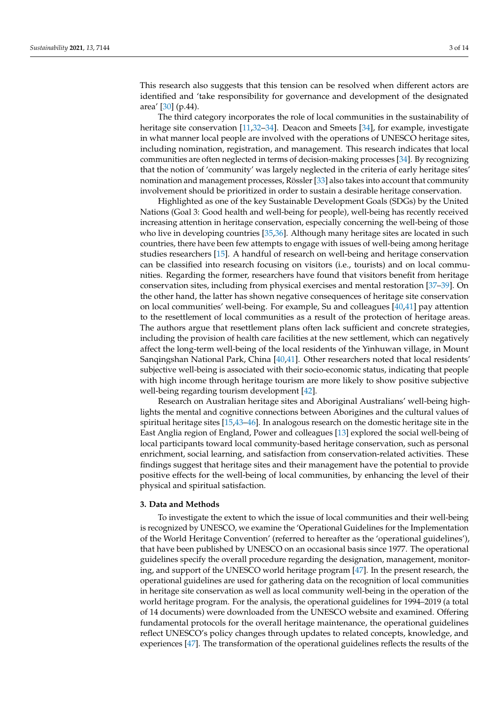This research also suggests that this tension can be resolved when different actors are identified and 'take responsibility for governance and development of the designated area' [\[30\]](#page-11-2) (p.44).

The third category incorporates the role of local communities in the sustainability of heritage site conservation [\[11,](#page-10-19)[32–](#page-11-3)[34\]](#page-11-4). Deacon and Smeets [\[34\]](#page-11-4), for example, investigate in what manner local people are involved with the operations of UNESCO heritage sites, including nomination, registration, and management. This research indicates that local communities are often neglected in terms of decision-making processes [\[34\]](#page-11-4). By recognizing that the notion of 'community' was largely neglected in the criteria of early heritage sites' nomination and management processes, Rössler [\[33\]](#page-11-5) also takes into account that community involvement should be prioritized in order to sustain a desirable heritage conservation.

Highlighted as one of the key Sustainable Development Goals (SDGs) by the United Nations (Goal 3: Good health and well-being for people), well-being has recently received increasing attention in heritage conservation, especially concerning the well-being of those who live in developing countries [\[35](#page-11-6)[,36\]](#page-11-7). Although many heritage sites are located in such countries, there have been few attempts to engage with issues of well-being among heritage studies researchers [\[15\]](#page-10-11). A handful of research on well-being and heritage conservation can be classified into research focusing on visitors (i.e., tourists) and on local communities. Regarding the former, researchers have found that visitors benefit from heritage conservation sites, including from physical exercises and mental restoration [\[37–](#page-11-8)[39\]](#page-11-9). On the other hand, the latter has shown negative consequences of heritage site conservation on local communities' well-being. For example, Su and colleagues [\[40,](#page-11-10)[41\]](#page-11-11) pay attention to the resettlement of local communities as a result of the protection of heritage areas. The authors argue that resettlement plans often lack sufficient and concrete strategies, including the provision of health care facilities at the new settlement, which can negatively affect the long-term well-being of the local residents of the Yinhuwan village, in Mount Sanqingshan National Park, China [\[40](#page-11-10)[,41\]](#page-11-11). Other researchers noted that local residents' subjective well-being is associated with their socio-economic status, indicating that people with high income through heritage tourism are more likely to show positive subjective well-being regarding tourism development [\[42\]](#page-11-12).

Research on Australian heritage sites and Aboriginal Australians' well-being highlights the mental and cognitive connections between Aborigines and the cultural values of spiritual heritage sites [\[15](#page-10-11)[,43](#page-11-13)[–46\]](#page-11-14). In analogous research on the domestic heritage site in the East Anglia region of England, Power and colleagues [\[13\]](#page-10-9) explored the social well-being of local participants toward local community-based heritage conservation, such as personal enrichment, social learning, and satisfaction from conservation-related activities. These findings suggest that heritage sites and their management have the potential to provide positive effects for the well-being of local communities, by enhancing the level of their physical and spiritual satisfaction.

### **3. Data and Methods**

To investigate the extent to which the issue of local communities and their well-being is recognized by UNESCO, we examine the 'Operational Guidelines for the Implementation of the World Heritage Convention' (referred to hereafter as the 'operational guidelines'), that have been published by UNESCO on an occasional basis since 1977. The operational guidelines specify the overall procedure regarding the designation, management, monitoring, and support of the UNESCO world heritage program [\[47\]](#page-11-15). In the present research, the operational guidelines are used for gathering data on the recognition of local communities in heritage site conservation as well as local community well-being in the operation of the world heritage program. For the analysis, the operational guidelines for 1994–2019 (a total of 14 documents) were downloaded from the UNESCO website and examined. Offering fundamental protocols for the overall heritage maintenance, the operational guidelines reflect UNESCO's policy changes through updates to related concepts, knowledge, and experiences [\[47\]](#page-11-15). The transformation of the operational guidelines reflects the results of the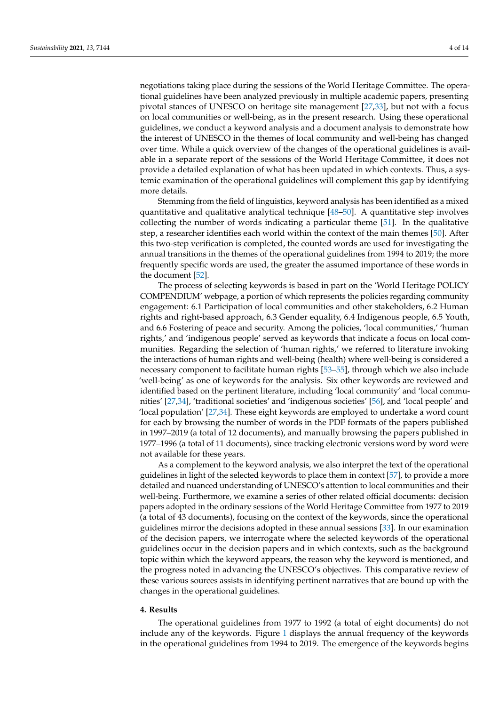negotiations taking place during the sessions of the World Heritage Committee. The operational guidelines have been analyzed previously in multiple academic papers, presenting pivotal stances of UNESCO on heritage site management [\[27](#page-10-18)[,33\]](#page-11-5), but not with a focus on local communities or well-being, as in the present research. Using these operational guidelines, we conduct a keyword analysis and a document analysis to demonstrate how the interest of UNESCO in the themes of local community and well-being has changed over time. While a quick overview of the changes of the operational guidelines is available in a separate report of the sessions of the World Heritage Committee, it does not provide a detailed explanation of what has been updated in which contexts. Thus, a systemic examination of the operational guidelines will complement this gap by identifying more details.

Stemming from the field of linguistics, keyword analysis has been identified as a mixed quantitative and qualitative analytical technique [\[48](#page-11-16)[–50\]](#page-11-17). A quantitative step involves collecting the number of words indicating a particular theme [\[51\]](#page-11-18). In the qualitative step, a researcher identifies each world within the context of the main themes [\[50\]](#page-11-17). After this two-step verification is completed, the counted words are used for investigating the annual transitions in the themes of the operational guidelines from 1994 to 2019; the more frequently specific words are used, the greater the assumed importance of these words in the document [\[52\]](#page-11-19).

The process of selecting keywords is based in part on the 'World Heritage POLICY COMPENDIUM' webpage, a portion of which represents the policies regarding community engagement: 6.1 Participation of local communities and other stakeholders, 6.2 Human rights and right-based approach, 6.3 Gender equality, 6.4 Indigenous people, 6.5 Youth, and 6.6 Fostering of peace and security. Among the policies, 'local communities,' 'human rights,' and 'indigenous people' served as keywords that indicate a focus on local communities. Regarding the selection of 'human rights,' we referred to literature invoking the interactions of human rights and well-being (health) where well-being is considered a necessary component to facilitate human rights [\[53](#page-11-20)[–55\]](#page-11-21), through which we also include 'well-being' as one of keywords for the analysis. Six other keywords are reviewed and identified based on the pertinent literature, including 'local community' and 'local communities' [\[27,](#page-10-18)[34\]](#page-11-4), 'traditional societies' and 'indigenous societies' [\[56\]](#page-11-22), and 'local people' and 'local population' [\[27](#page-10-18)[,34\]](#page-11-4). These eight keywords are employed to undertake a word count for each by browsing the number of words in the PDF formats of the papers published in 1997–2019 (a total of 12 documents), and manually browsing the papers published in 1977–1996 (a total of 11 documents), since tracking electronic versions word by word were not available for these years.

As a complement to the keyword analysis, we also interpret the text of the operational guidelines in light of the selected keywords to place them in context [\[57\]](#page-11-23), to provide a more detailed and nuanced understanding of UNESCO's attention to local communities and their well-being. Furthermore, we examine a series of other related official documents: decision papers adopted in the ordinary sessions of the World Heritage Committee from 1977 to 2019 (a total of 43 documents), focusing on the context of the keywords, since the operational guidelines mirror the decisions adopted in these annual sessions [\[33\]](#page-11-5). In our examination of the decision papers, we interrogate where the selected keywords of the operational guidelines occur in the decision papers and in which contexts, such as the background topic within which the keyword appears, the reason why the keyword is mentioned, and the progress noted in advancing the UNESCO's objectives. This comparative review of these various sources assists in identifying pertinent narratives that are bound up with the changes in the operational guidelines.

#### **4. Results**

The operational guidelines from 1977 to 1992 (a total of eight documents) do not include any of the keywords. Figure [1](#page-5-0) displays the annual frequency of the keywords in the operational guidelines from 1994 to 2019. The emergence of the keywords begins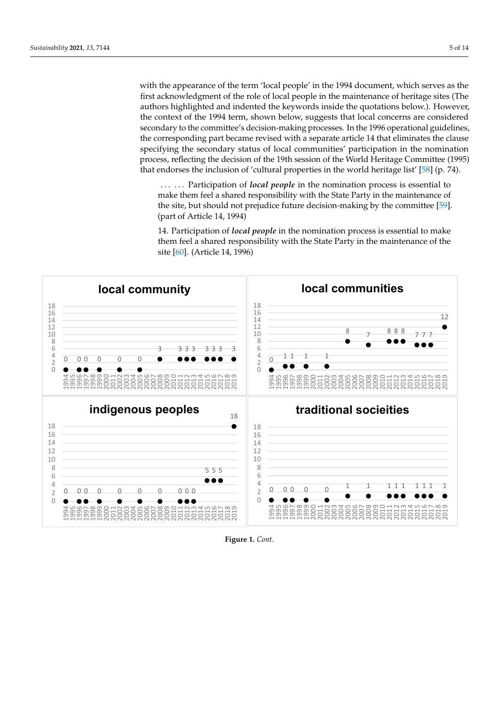with the appearance of the term 'local people' in the 1994 document, which serves as the first acknowledgment of the role of local people in the maintenance of heritage sites (The authors highlighted and indented the keywords inside the quotations below.). However, the context of the 1994 term, shown below, suggests that local concerns are considered secondary to the committee's decision-making processes. In the 1996 operational guidelines, the corresponding part became revised with a separate article 14 that eliminates the clause specifying the secondary status of local communities' participation in the nomination process, reflecting the decision of the 19th session of the World Heritage Committee (1995) that endorses the inclusion of 'cultural properties in the world heritage list' [\[58\]](#page-12-0) (p. 74).

... ... Participation of *local people* in the nomination process is essential to make them feel a shared responsibility with the State Party in the maintenance of the site, but should not prejudice future decision-making by the committee [\[59\]](#page-12-1). (part of Article 14, 1994)

14. Participation of *local people* in the nomination process is essential to make them feel a shared responsibility with the State Party in the maintenance of the site  $[60]$ . (Article 14, 1996)



**Figure 1.** *Cont*.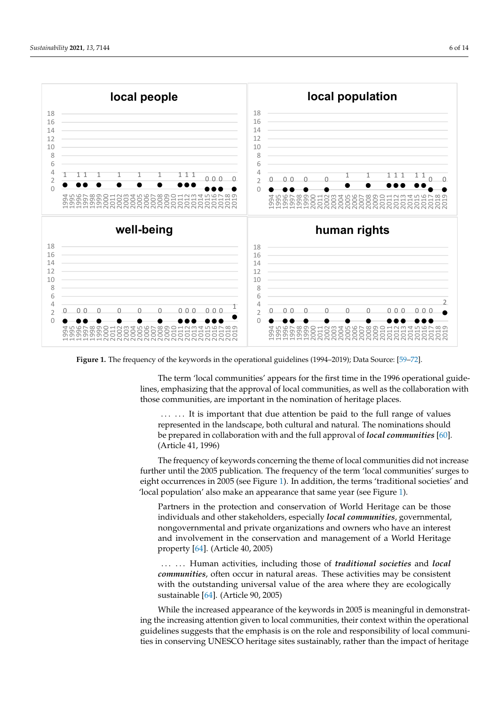<span id="page-5-0"></span>

Figure 1. The frequency of the keywords in the operational guidelines (1994-2019); Data Source: [\[59](#page-12-1)-72].

The term 'local communities' appears for the first time in the 1996 operational guide‐ The term 'local communities' appears for the first time in the 1996 operational guidelines, emphasizing that the approval of local communities, as well as the collaboration lines, emphasizing that the approval of local communities, as well as the collaboration with those communities, are important in the nomination of heritage places.

... ... It is important that due attention be paid to the full range of values represented in the landscape, both cultural and natural. The nominations should prepared in collaboration with and the full approval of *local communities* [\[60\]](#page-12-2) be prepared in collaboration with and the full approval of *local communities* [60]. (Article 41, 1996). (Article 41, 1996)

The frequency of keywords concerning the theme of local communities did not increase further until the 2005 publication. The frequency of the term 'local communities' surges to eight occurrences in 2005 (s[ee](#page-5-0) Figure 1). In addition, the terms 'traditional societies' and 'local population' also make an appearance that same year [\(se](#page-5-0)e Figure 1).

Partners in the protection and conservation of World Heritage can be those dividuals and other stakeholders, especially *local communities*, governmental, individuals and other stakeholders, especially *local communities*, governmental, nongovernmental and private organizations and owners who have an interest nongovernmental and private organizations and owners who have an interest and involvement in the conservation and management of a World Heritage and involvement in the conservation and management of a World Heritage property [64] (Article 40, 2005). property [\[64\]](#page-12-4). (Article 40, 2005)

...... Human activities, including those of *traditional societies* and *local communities*, often occur in natural areas. These activities may be consistent with the outstanding universal value of the area where they are ecologically sustainable [\[64\]](#page-12-4). (Article 90, 2005).

While the increased appearance of the keywords in 2005 is meaningful in demonstrating the increasing attention given to local communities, their context within the operational guidelines suggests that the emphasis is on the role and responsibility of local communities in conserving UNESCO heritage sites sustainably, rather than the impact of heritage here conservation on local communities or the communities or the communities of livelihood communities  $\alpha$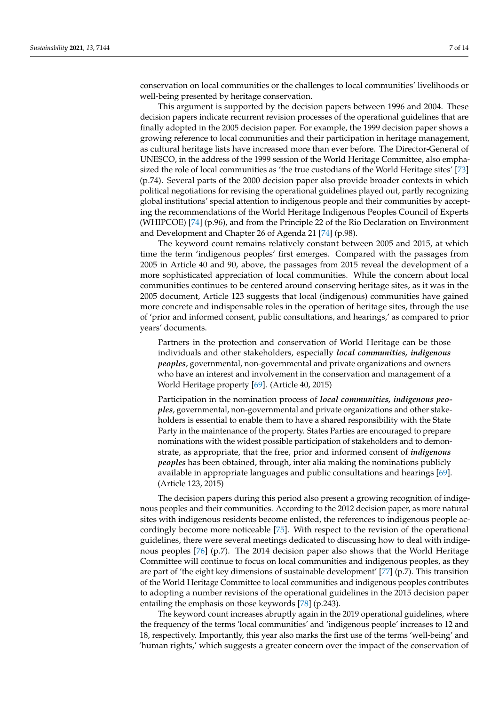conservation on local communities or the challenges to local communities' livelihoods or well-being presented by heritage conservation.

This argument is supported by the decision papers between 1996 and 2004. These decision papers indicate recurrent revision processes of the operational guidelines that are finally adopted in the 2005 decision paper. For example, the 1999 decision paper shows a growing reference to local communities and their participation in heritage management, as cultural heritage lists have increased more than ever before. The Director-General of UNESCO, in the address of the 1999 session of the World Heritage Committee, also emphasized the role of local communities as 'the true custodians of the World Heritage sites' [\[73\]](#page-12-5) (p.74). Several parts of the 2000 decision paper also provide broader contexts in which political negotiations for revising the operational guidelines played out, partly recognizing global institutions' special attention to indigenous people and their communities by accepting the recommendations of the World Heritage Indigenous Peoples Council of Experts (WHIPCOE) [\[74\]](#page-12-6) (p.96), and from the Principle 22 of the Rio Declaration on Environment and Development and Chapter 26 of Agenda 21 [\[74\]](#page-12-6) (p.98).

The keyword count remains relatively constant between 2005 and 2015, at which time the term 'indigenous peoples' first emerges. Compared with the passages from 2005 in Article 40 and 90, above, the passages from 2015 reveal the development of a more sophisticated appreciation of local communities. While the concern about local communities continues to be centered around conserving heritage sites, as it was in the 2005 document, Article 123 suggests that local (indigenous) communities have gained more concrete and indispensable roles in the operation of heritage sites, through the use of 'prior and informed consent, public consultations, and hearings,' as compared to prior years' documents.

Partners in the protection and conservation of World Heritage can be those individuals and other stakeholders, especially *local communities, indigenous peoples*, governmental, non-governmental and private organizations and owners who have an interest and involvement in the conservation and management of a World Heritage property [\[69\]](#page-12-7). (Article 40, 2015)

Participation in the nomination process of *local communities, indigenous peoples*, governmental, non-governmental and private organizations and other stakeholders is essential to enable them to have a shared responsibility with the State Party in the maintenance of the property. States Parties are encouraged to prepare nominations with the widest possible participation of stakeholders and to demonstrate, as appropriate, that the free, prior and informed consent of *indigenous peoples* has been obtained, through, inter alia making the nominations publicly available in appropriate languages and public consultations and hearings [\[69\]](#page-12-7). (Article 123, 2015)

The decision papers during this period also present a growing recognition of indigenous peoples and their communities. According to the 2012 decision paper, as more natural sites with indigenous residents become enlisted, the references to indigenous people accordingly become more noticeable [\[75\]](#page-12-8). With respect to the revision of the operational guidelines, there were several meetings dedicated to discussing how to deal with indigenous peoples [\[76\]](#page-12-9) (p.7). The 2014 decision paper also shows that the World Heritage Committee will continue to focus on local communities and indigenous peoples, as they are part of 'the eight key dimensions of sustainable development' [\[77\]](#page-12-10) (p.7). This transition of the World Heritage Committee to local communities and indigenous peoples contributes to adopting a number revisions of the operational guidelines in the 2015 decision paper entailing the emphasis on those keywords [\[78\]](#page-12-11) (p.243).

The keyword count increases abruptly again in the 2019 operational guidelines, where the frequency of the terms 'local communities' and 'indigenous people' increases to 12 and 18, respectively. Importantly, this year also marks the first use of the terms 'well-being' and 'human rights,' which suggests a greater concern over the impact of the conservation of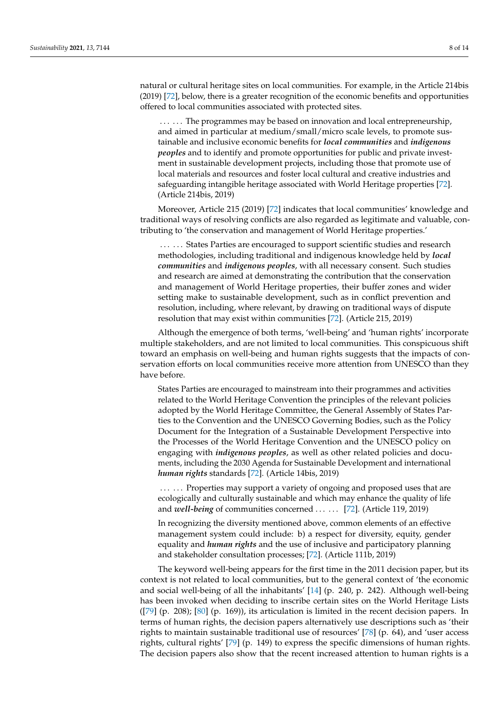natural or cultural heritage sites on local communities. For example, in the Article 214bis (2019) [\[72\]](#page-12-3), below, there is a greater recognition of the economic benefits and opportunities offered to local communities associated with protected sites.

...... The programmes may be based on innovation and local entrepreneurship, and aimed in particular at medium/small/micro scale levels, to promote sustainable and inclusive economic benefits for *local communities* and *indigenous peoples* and to identify and promote opportunities for public and private investment in sustainable development projects, including those that promote use of local materials and resources and foster local cultural and creative industries and safeguarding intangible heritage associated with World Heritage properties [\[72\]](#page-12-3). (Article 214bis, 2019)

Moreover, Article 215 (2019) [\[72\]](#page-12-3) indicates that local communities' knowledge and traditional ways of resolving conflicts are also regarded as legitimate and valuable, contributing to 'the conservation and management of World Heritage properties.'

...... States Parties are encouraged to support scientific studies and research methodologies, including traditional and indigenous knowledge held by *local communities* and *indigenous peoples*, with all necessary consent. Such studies and research are aimed at demonstrating the contribution that the conservation and management of World Heritage properties, their buffer zones and wider setting make to sustainable development, such as in conflict prevention and resolution, including, where relevant, by drawing on traditional ways of dispute resolution that may exist within communities [\[72\]](#page-12-3). (Article 215, 2019)

Although the emergence of both terms, 'well-being' and 'human rights' incorporate multiple stakeholders, and are not limited to local communities. This conspicuous shift toward an emphasis on well-being and human rights suggests that the impacts of conservation efforts on local communities receive more attention from UNESCO than they have before.

States Parties are encouraged to mainstream into their programmes and activities related to the World Heritage Convention the principles of the relevant policies adopted by the World Heritage Committee, the General Assembly of States Parties to the Convention and the UNESCO Governing Bodies, such as the Policy Document for the Integration of a Sustainable Development Perspective into the Processes of the World Heritage Convention and the UNESCO policy on engaging with *indigenous peoples*, as well as other related policies and documents, including the 2030 Agenda for Sustainable Development and international *human rights* standards [\[72\]](#page-12-3). (Article 14bis, 2019)

...... Properties may support a variety of ongoing and proposed uses that are ecologically and culturally sustainable and which may enhance the quality of life and *well-being* of communities concerned . . . . . . [\[72\]](#page-12-3). (Article 119, 2019)

In recognizing the diversity mentioned above, common elements of an effective management system could include: b) a respect for diversity, equity, gender equality and *human rights* and the use of inclusive and participatory planning and stakeholder consultation processes; [\[72\]](#page-12-3). (Article 111b, 2019)

The keyword well-being appears for the first time in the 2011 decision paper, but its context is not related to local communities, but to the general context of 'the economic and social well-being of all the inhabitants' [\[14\]](#page-10-10) (p. 240, p. 242). Although well-being has been invoked when deciding to inscribe certain sites on the World Heritage Lists  $(79)$  (p. 208); [\[80\]](#page-12-13) (p. 169)), its articulation is limited in the recent decision papers. In terms of human rights, the decision papers alternatively use descriptions such as 'their rights to maintain sustainable traditional use of resources' [\[78\]](#page-12-11) (p. 64), and 'user access rights, cultural rights' [\[79\]](#page-12-12) (p. 149) to express the specific dimensions of human rights. The decision papers also show that the recent increased attention to human rights is a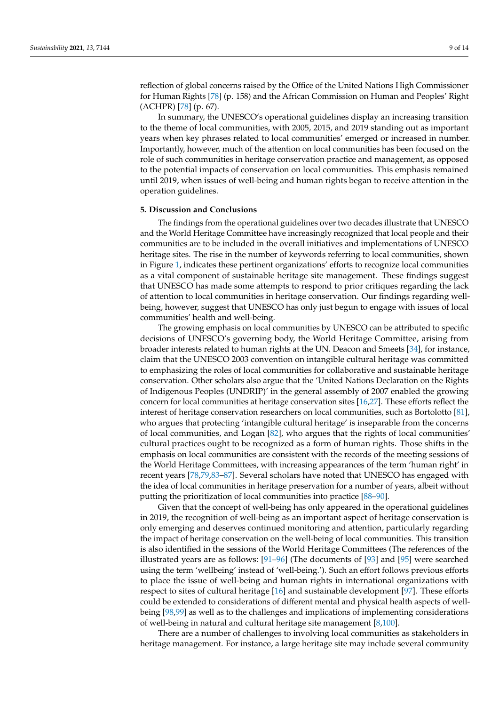reflection of global concerns raised by the Office of the United Nations High Commissioner for Human Rights [\[78\]](#page-12-11) (p. 158) and the African Commission on Human and Peoples' Right (ACHPR) [\[78\]](#page-12-11) (p. 67).

In summary, the UNESCO's operational guidelines display an increasing transition to the theme of local communities, with 2005, 2015, and 2019 standing out as important years when key phrases related to local communities' emerged or increased in number. Importantly, however, much of the attention on local communities has been focused on the role of such communities in heritage conservation practice and management, as opposed to the potential impacts of conservation on local communities. This emphasis remained until 2019, when issues of well-being and human rights began to receive attention in the operation guidelines.

## **5. Discussion and Conclusions**

The findings from the operational guidelines over two decades illustrate that UNESCO and the World Heritage Committee have increasingly recognized that local people and their communities are to be included in the overall initiatives and implementations of UNESCO heritage sites. The rise in the number of keywords referring to local communities, shown in Figure [1,](#page-5-0) indicates these pertinent organizations' efforts to recognize local communities as a vital component of sustainable heritage site management. These findings suggest that UNESCO has made some attempts to respond to prior critiques regarding the lack of attention to local communities in heritage conservation. Our findings regarding wellbeing, however, suggest that UNESCO has only just begun to engage with issues of local communities' health and well-being.

The growing emphasis on local communities by UNESCO can be attributed to specific decisions of UNESCO's governing body, the World Heritage Committee, arising from broader interests related to human rights at the UN. Deacon and Smeets [\[34\]](#page-11-4), for instance, claim that the UNESCO 2003 convention on intangible cultural heritage was committed to emphasizing the roles of local communities for collaborative and sustainable heritage conservation. Other scholars also argue that the 'United Nations Declaration on the Rights of Indigenous Peoples (UNDRIP)' in the general assembly of 2007 enabled the growing concern for local communities at heritage conservation sites [\[16,](#page-10-12)[27\]](#page-10-18). These efforts reflect the interest of heritage conservation researchers on local communities, such as Bortolotto [\[81\]](#page-12-14), who argues that protecting 'intangible cultural heritage' is inseparable from the concerns of local communities, and Logan [\[82\]](#page-12-15), who argues that the rights of local communities' cultural practices ought to be recognized as a form of human rights. Those shifts in the emphasis on local communities are consistent with the records of the meeting sessions of the World Heritage Committees, with increasing appearances of the term 'human right' in recent years [\[78,](#page-12-11)[79,](#page-12-12)[83](#page-12-16)[–87\]](#page-13-0). Several scholars have noted that UNESCO has engaged with the idea of local communities in heritage preservation for a number of years, albeit without putting the prioritization of local communities into practice [\[88](#page-13-1)[–90\]](#page-13-2).

Given that the concept of well-being has only appeared in the operational guidelines in 2019, the recognition of well-being as an important aspect of heritage conservation is only emerging and deserves continued monitoring and attention, particularly regarding the impact of heritage conservation on the well-being of local communities. This transition is also identified in the sessions of the World Heritage Committees (The references of the illustrated years are as follows: [\[91–](#page-13-3)[96\]](#page-13-4) (The documents of [\[93\]](#page-13-5) and [\[95\]](#page-13-6) were searched using the term 'wellbeing' instead of 'well-being.'). Such an effort follows previous efforts to place the issue of well-being and human rights in international organizations with respect to sites of cultural heritage [\[16\]](#page-10-12) and sustainable development [\[97\]](#page-13-7). These efforts could be extended to considerations of different mental and physical health aspects of wellbeing [\[98,](#page-13-8)[99\]](#page-13-9) as well as to the challenges and implications of implementing considerations of well-being in natural and cultural heritage site management [\[8](#page-10-5)[,100\]](#page-13-10).

There are a number of challenges to involving local communities as stakeholders in heritage management. For instance, a large heritage site may include several community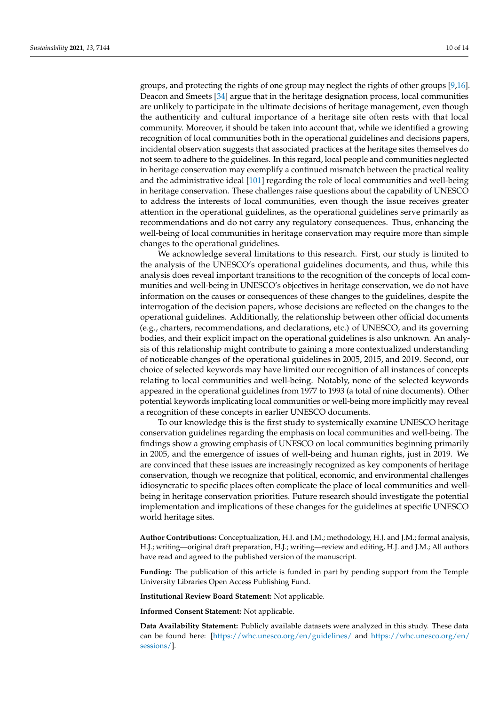groups, and protecting the rights of one group may neglect the rights of other groups [\[9](#page-10-6)[,16\]](#page-10-12). Deacon and Smeets [\[34\]](#page-11-4) argue that in the heritage designation process, local communities are unlikely to participate in the ultimate decisions of heritage management, even though the authenticity and cultural importance of a heritage site often rests with that local community. Moreover, it should be taken into account that, while we identified a growing recognition of local communities both in the operational guidelines and decisions papers, incidental observation suggests that associated practices at the heritage sites themselves do not seem to adhere to the guidelines. In this regard, local people and communities neglected in heritage conservation may exemplify a continued mismatch between the practical reality and the administrative ideal [\[101\]](#page-13-11) regarding the role of local communities and well-being in heritage conservation. These challenges raise questions about the capability of UNESCO to address the interests of local communities, even though the issue receives greater attention in the operational guidelines, as the operational guidelines serve primarily as recommendations and do not carry any regulatory consequences. Thus, enhancing the well-being of local communities in heritage conservation may require more than simple changes to the operational guidelines.

We acknowledge several limitations to this research. First, our study is limited to the analysis of the UNESCO's operational guidelines documents, and thus, while this analysis does reveal important transitions to the recognition of the concepts of local communities and well-being in UNESCO's objectives in heritage conservation, we do not have information on the causes or consequences of these changes to the guidelines, despite the interrogation of the decision papers, whose decisions are reflected on the changes to the operational guidelines. Additionally, the relationship between other official documents (e.g., charters, recommendations, and declarations, etc.) of UNESCO, and its governing bodies, and their explicit impact on the operational guidelines is also unknown. An analysis of this relationship might contribute to gaining a more contextualized understanding of noticeable changes of the operational guidelines in 2005, 2015, and 2019. Second, our choice of selected keywords may have limited our recognition of all instances of concepts relating to local communities and well-being. Notably, none of the selected keywords appeared in the operational guidelines from 1977 to 1993 (a total of nine documents). Other potential keywords implicating local communities or well-being more implicitly may reveal a recognition of these concepts in earlier UNESCO documents.

To our knowledge this is the first study to systemically examine UNESCO heritage conservation guidelines regarding the emphasis on local communities and well-being. The findings show a growing emphasis of UNESCO on local communities beginning primarily in 2005, and the emergence of issues of well-being and human rights, just in 2019. We are convinced that these issues are increasingly recognized as key components of heritage conservation, though we recognize that political, economic, and environmental challenges idiosyncratic to specific places often complicate the place of local communities and wellbeing in heritage conservation priorities. Future research should investigate the potential implementation and implications of these changes for the guidelines at specific UNESCO world heritage sites.

**Author Contributions:** Conceptualization, H.J. and J.M.; methodology, H.J. and J.M.; formal analysis, H.J.; writing—original draft preparation, H.J.; writing—review and editing, H.J. and J.M.; All authors have read and agreed to the published version of the manuscript.

**Funding:** The publication of this article is funded in part by pending support from the Temple University Libraries Open Access Publishing Fund.

**Institutional Review Board Statement:** Not applicable.

**Informed Consent Statement:** Not applicable.

**Data Availability Statement:** Publicly available datasets were analyzed in this study. These data can be found here: [\[https://whc.unesco.org/en/guidelines/](https://whc.unesco.org/en/guidelines/) and [https://whc.unesco.org/en/](https://whc.unesco.org/en/sessions/) [sessions/\]](https://whc.unesco.org/en/sessions/).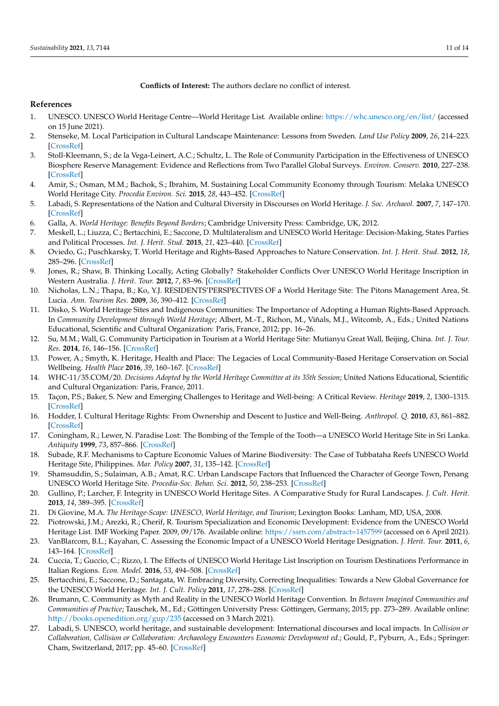## **Conflicts of Interest:** The authors declare no conflict of interest.

## **References**

- <span id="page-10-0"></span>1. UNESCO. UNESCO World Heritage Centre—World Heritage List. Available online: <https://whc.unesco.org/en/list/> (accessed on 15 June 2021).
- <span id="page-10-1"></span>2. Stenseke, M. Local Participation in Cultural Landscape Maintenance: Lessons from Sweden. *Land Use Policy* **2009**, *26*, 214–223. [\[CrossRef\]](http://doi.org/10.1016/j.landusepol.2008.01.005)
- 3. Stoll-Kleemann, S.; de la Vega-Leinert, A.C.; Schultz, L. The Role of Community Participation in the Effectiveness of UNESCO Biosphere Reserve Management: Evidence and Reflections from Two Parallel Global Surveys. *Environ. Conserv.* **2010**, 227–238. [\[CrossRef\]](http://doi.org/10.1017/S037689291000038X)
- <span id="page-10-2"></span>4. Amir, S.; Osman, M.M.; Bachok, S.; Ibrahim, M. Sustaining Local Community Economy through Tourism: Melaka UNESCO World Heritage City. *Procedia Environ. Sci.* **2015**, *28*, 443–452. [\[CrossRef\]](http://doi.org/10.1016/j.proenv.2015.07.054)
- <span id="page-10-3"></span>5. Labadi, S. Representations of the Nation and Cultural Diversity in Discourses on World Heritage. *J. Soc. Archaeol.* **2007**, *7*, 147–170. [\[CrossRef\]](http://doi.org/10.1177/1469605307077466)
- 6. Galla, A. *World Heritage: Benefits Beyond Borders*; Cambridge University Press: Cambridge, UK, 2012.
- <span id="page-10-4"></span>7. Meskell, L.; Liuzza, C.; Bertacchini, E.; Saccone, D. Multilateralism and UNESCO World Heritage: Decision-Making, States Parties and Political Processes. *Int. J. Herit. Stud.* **2015**, *21*, 423–440. [\[CrossRef\]](http://doi.org/10.1080/13527258.2014.945614)
- <span id="page-10-5"></span>8. Oviedo, G.; Puschkarsky, T. World Heritage and Rights-Based Approaches to Nature Conservation. *Int. J. Herit. Stud.* **2012**, *18*, 285–296. [\[CrossRef\]](http://doi.org/10.1080/13527258.2012.652146)
- <span id="page-10-6"></span>9. Jones, R.; Shaw, B. Thinking Locally, Acting Globally? Stakeholder Conflicts Over UNESCO World Heritage Inscription in Western Australia. *J. Herit. Tour.* **2012**, *7*, 83–96. [\[CrossRef\]](http://doi.org/10.1080/1743873X.2011.632482)
- <span id="page-10-7"></span>10. Nicholas, L.N.; Thapa, B.; Ko, Y.J. RESIDENTS'PERSPECTIVES OF a World Heritage Site: The Pitons Management Area, St. Lucia. *Ann. Tourism Res.* **2009**, *36*, 390–412. [\[CrossRef\]](http://doi.org/10.1016/j.annals.2009.03.005)
- <span id="page-10-19"></span>11. Disko, S. World Heritage Sites and Indigenous Communities: The Importance of Adopting a Human Rights-Based Approach. In *Community Development through World Heritage*; Albert, M.-T., Richon, M., Viñals, M.J., Witcomb, A., Eds.; United Nations Educational, Scientific and Cultural Organization: Paris, France, 2012; pp. 16–26.
- <span id="page-10-8"></span>12. Su, M.M.; Wall, G. Community Participation in Tourism at a World Heritage Site: Mutianyu Great Wall, Beijing, China. *Int. J. Tour. Res.* **2014**, *16*, 146–156. [\[CrossRef\]](http://doi.org/10.1002/jtr.1909)
- <span id="page-10-9"></span>13. Power, A.; Smyth, K. Heritage, Health and Place: The Legacies of Local Community-Based Heritage Conservation on Social Wellbeing. *Health Place* **2016**, *39*, 160–167. [\[CrossRef\]](http://doi.org/10.1016/j.healthplace.2016.04.005)
- <span id="page-10-10"></span>14. WHC-11/35.COM/20. *Decisions Adopted by the World Heritage Committee at its 35th Session*; United Nations Educational, Scientific and Cultural Organization: Paris, France, 2011.
- <span id="page-10-11"></span>15. Taçon, P.S.; Baker, S. New and Emerging Challenges to Heritage and Well-being: A Critical Review. *Heritage* **2019**, *2*, 1300–1315. [\[CrossRef\]](http://doi.org/10.3390/heritage2020084)
- <span id="page-10-12"></span>16. Hodder, I. Cultural Heritage Rights: From Ownership and Descent to Justice and Well-Being. *Anthropol. Q.* **2010**, *83*, 861–882. [\[CrossRef\]](http://doi.org/10.1353/anq.2010.0025)
- <span id="page-10-13"></span>17. Coningham, R.; Lewer, N. Paradise Lost: The Bombing of the Temple of the Tooth—a UNESCO World Heritage Site in Sri Lanka. *Antiquity* **1999**, *73*, 857–866. [\[CrossRef\]](http://doi.org/10.1017/S0003598X00065595)
- 18. Subade, R.F. Mechanisms to Capture Economic Values of Marine Biodiversity: The Case of Tubbataha Reefs UNESCO World Heritage Site, Philippines. *Mar. Policy* **2007**, *31*, 135–142. [\[CrossRef\]](http://doi.org/10.1016/j.marpol.2006.05.012)
- 19. Shamsuddin, S.; Sulaiman, A.B.; Amat, R.C. Urban Landscape Factors that Influenced the Character of George Town, Penang UNESCO World Heritage Site. *Procedia-Soc. Behav. Sci.* **2012**, *50*, 238–253. [\[CrossRef\]](http://doi.org/10.1016/j.sbspro.2012.08.031)
- <span id="page-10-14"></span>20. Gullino, P.; Larcher, F. Integrity in UNESCO World Heritage Sites. A Comparative Study for Rural Landscapes. *J. Cult. Herit.* **2013**, *14*, 389–395. [\[CrossRef\]](http://doi.org/10.1016/j.culher.2012.10.005)
- <span id="page-10-15"></span>21. Di Giovine, M.A. *The Heritage-Scape: UNESCO, World Heritage, and Tourism*; Lexington Books: Lanham, MD, USA, 2008.
- 22. Piotrowski, J.M.; Arezki, R.; Cherif, R. Tourism Specialization and Economic Development: Evidence from the UNESCO World Heritage List. IMF Working Paper. 2009, 09/176. Available online: <https://ssrn.com/abstract=1457599> (accessed on 6 April 2021).
- 23. VanBlarcom, B.L.; Kayahan, C. Assessing the Economic Impact of a UNESCO World Heritage Designation. *J. Herit. Tour.* **2011**, *6*, 143–164. [\[CrossRef\]](http://doi.org/10.1080/1743873X.2011.561858)
- <span id="page-10-16"></span>24. Cuccia, T.; Guccio, C.; Rizzo, I. The Effects of UNESCO World Heritage List Inscription on Tourism Destinations Performance in Italian Regions. *Econ. Model.* **2016**, *53*, 494–508. [\[CrossRef\]](http://doi.org/10.1016/j.econmod.2015.10.049)
- <span id="page-10-17"></span>25. Bertacchini, E.; Saccone, D.; Santagata, W. Embracing Diversity, Correcting Inequalities: Towards a New Global Governance for the UNESCO World Heritage. *Int. J. Cult. Policy* **2011**, *17*, 278–288. [\[CrossRef\]](http://doi.org/10.1080/10286632.2010.528833)
- 26. Brumann, C. Community as Myth and Reality in the UNESCO World Heritage Convention. In *Between Imagined Communities and Communities of Practice*; Tauschek, M., Ed.; Göttingen University Press: Göttingen, Germany, 2015; pp. 273–289. Available online: <http://books.openedition.org/gup/235> (accessed on 3 March 2021).
- <span id="page-10-18"></span>27. Labadi, S. UNESCO, world heritage, and sustainable development: International discourses and local impacts. In *Collision or Collaboration, Collision or Collaboration: Archaeology Encounters Economic Development ed.*; Gould, P., Pyburn, A., Eds.; Springer: Cham, Switzerland, 2017; pp. 45–60. [\[CrossRef\]](http://doi.org/10.1007/978-3-319-44515-1_4)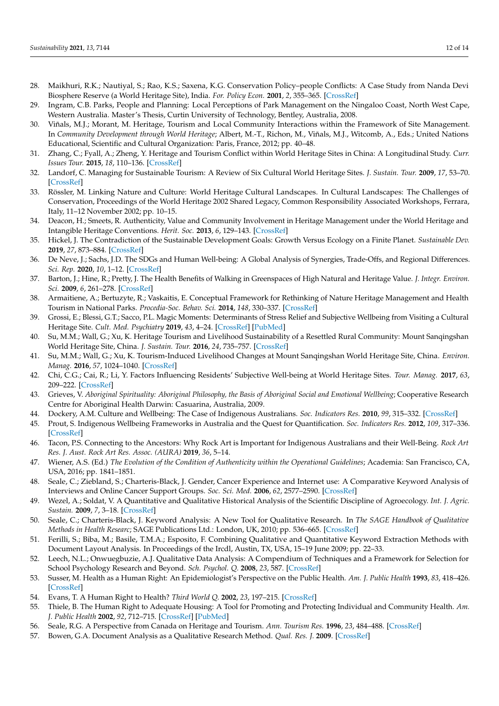- <span id="page-11-0"></span>28. Maikhuri, R.K.; Nautiyal, S.; Rao, K.S.; Saxena, K.G. Conservation Policy–people Conflicts: A Case Study from Nanda Devi Biosphere Reserve (a World Heritage Site), India. *For. Policy Econ.* **2001**, *2*, 355–365. [\[CrossRef\]](http://doi.org/10.1016/S1389-9341(01)00037-5)
- 29. Ingram, C.B. Parks, People and Planning: Local Perceptions of Park Management on the Ningaloo Coast, North West Cape, Western Australia. Master's Thesis, Curtin University of Technology, Bentley, Australia, 2008.
- <span id="page-11-2"></span>30. Viñals, M.J.; Morant, M. Heritage, Tourism and Local Community Interactions within the Framework of Site Management. In *Community Development through World Heritage*; Albert, M.-T., Richon, M., Viñals, M.J., Witcomb, A., Eds.; United Nations Educational, Scientific and Cultural Organization: Paris, France, 2012; pp. 40–48.
- <span id="page-11-1"></span>31. Zhang, C.; Fyall, A.; Zheng, Y. Heritage and Tourism Conflict within World Heritage Sites in China: A Longitudinal Study. *Curr. Issues Tour.* **2015**, *18*, 110–136. [\[CrossRef\]](http://doi.org/10.1080/13683500.2014.912204)
- <span id="page-11-3"></span>32. Landorf, C. Managing for Sustainable Tourism: A Review of Six Cultural World Heritage Sites. *J. Sustain. Tour.* **2009**, *17*, 53–70. [\[CrossRef\]](http://doi.org/10.1080/09669580802159719)
- <span id="page-11-5"></span>33. Rössler, M. Linking Nature and Culture: World Heritage Cultural Landscapes. In Cultural Landscapes: The Challenges of Conservation, Proceedings of the World Heritage 2002 Shared Legacy, Common Responsibility Associated Workshops, Ferrara, Italy, 11–12 November 2002; pp. 10–15.
- <span id="page-11-4"></span>34. Deacon, H.; Smeets, R. Authenticity, Value and Community Involvement in Heritage Management under the World Heritage and Intangible Heritage Conventions. *Herit. Soc.* **2013**, *6*, 129–143. [\[CrossRef\]](http://doi.org/10.1179/2159032X13Z.0000000009)
- <span id="page-11-6"></span>35. Hickel, J. The Contradiction of the Sustainable Development Goals: Growth Versus Ecology on a Finite Planet. *Sustainable Dev.* **2019**, *27*, 873–884. [\[CrossRef\]](http://doi.org/10.1002/sd.1947)
- <span id="page-11-7"></span>36. De Neve, J.; Sachs, J.D. The SDGs and Human Well-being: A Global Analysis of Synergies, Trade-Offs, and Regional Differences. *Sci. Rep.* **2020**, *10*, 1–12. [\[CrossRef\]](http://doi.org/10.1038/s41598-020-71916-9)
- <span id="page-11-8"></span>37. Barton, J.; Hine, R.; Pretty, J. The Health Benefits of Walking in Greenspaces of High Natural and Heritage Value. *J. Integr. Environ. Sci.* **2009**, *6*, 261–278. [\[CrossRef\]](http://doi.org/10.1080/19438150903378425)
- 38. Armaitiene, A.; Bertuzyte, R.; Vaskaitis, E. Conceptual Framework for Rethinking of Nature Heritage Management and Health Tourism in National Parks. *Procedia-Soc. Behav. Sci.* **2014**, *148*, 330–337. [\[CrossRef\]](http://doi.org/10.1016/j.sbspro.2014.07.050)
- <span id="page-11-9"></span>39. Grossi, E.; Blessi, G.T.; Sacco, P.L. Magic Moments: Determinants of Stress Relief and Subjective Wellbeing from Visiting a Cultural Heritage Site. *Cult. Med. Psychiatry* **2019**, *43*, 4–24. [\[CrossRef\]](http://doi.org/10.1007/s11013-018-9593-8) [\[PubMed\]](http://www.ncbi.nlm.nih.gov/pubmed/29998384)
- <span id="page-11-10"></span>40. Su, M.M.; Wall, G.; Xu, K. Heritage Tourism and Livelihood Sustainability of a Resettled Rural Community: Mount Sanqingshan World Heritage Site, China. *J. Sustain. Tour.* **2016**, *24*, 735–757. [\[CrossRef\]](http://doi.org/10.1080/09669582.2015.1085868)
- <span id="page-11-11"></span>41. Su, M.M.; Wall, G.; Xu, K. Tourism-Induced Livelihood Changes at Mount Sanqingshan World Heritage Site, China. *Environ. Manag.* **2016**, *57*, 1024–1040. [\[CrossRef\]](http://doi.org/10.1007/s00267-016-0672-8)
- <span id="page-11-12"></span>42. Chi, C.G.; Cai, R.; Li, Y. Factors Influencing Residents' Subjective Well-being at World Heritage Sites. *Tour. Manag.* **2017**, *63*, 209–222. [\[CrossRef\]](http://doi.org/10.1016/j.tourman.2017.06.019)
- <span id="page-11-13"></span>43. Grieves, V. *Aboriginal Spirituality: Aboriginal Philosophy, the Basis of Aboriginal Social and Emotional Wellbeing*; Cooperative Research Centre for Aboriginal Health Darwin: Casuarina, Australia, 2009.
- 44. Dockery, A.M. Culture and Wellbeing: The Case of Indigenous Australians. *Soc. Indicators Res.* **2010**, *99*, 315–332. [\[CrossRef\]](http://doi.org/10.1007/s11205-010-9582-y)
- 45. Prout, S. Indigenous Wellbeing Frameworks in Australia and the Quest for Quantification. *Soc. Indicators Res.* **2012**, *109*, 317–336. [\[CrossRef\]](http://doi.org/10.1007/s11205-011-9905-7)
- <span id="page-11-14"></span>46. Tacon, P.S. Connecting to the Ancestors: Why Rock Art is Important for Indigenous Australians and their Well-Being. *Rock Art Res. J. Aust. Rock Art Res. Assoc. (AURA)* **2019**, *36*, 5–14.
- <span id="page-11-15"></span>47. Wiener, A.S. (Ed.) *The Evolution of the Condition of Authenticity within the Operational Guidelines*; Academia: San Francisco, CA, USA, 2016; pp. 1841–1851.
- <span id="page-11-16"></span>48. Seale, C.; Ziebland, S.; Charteris-Black, J. Gender, Cancer Experience and Internet use: A Comparative Keyword Analysis of Interviews and Online Cancer Support Groups. *Soc. Sci. Med.* **2006**, *62*, 2577–2590. [\[CrossRef\]](http://doi.org/10.1016/j.socscimed.2005.11.016)
- 49. Wezel, A.; Soldat, V. A Quantitative and Qualitative Historical Analysis of the Scientific Discipline of Agroecology. *Int. J. Agric. Sustain.* **2009**, *7*, 3–18. [\[CrossRef\]](http://doi.org/10.3763/ijas.2009.0400)
- <span id="page-11-17"></span>50. Seale, C.; Charteris-Black, J. Keyword Analysis: A New Tool for Qualitative Research. In *The SAGE Handbook of Qualitative Methods in Health Researc*; SAGE Publications Ltd.: London, UK, 2010; pp. 536–665. [\[CrossRef\]](http://doi.org/10.4135/9781446268247)
- <span id="page-11-18"></span>51. Ferilli, S.; Biba, M.; Basile, T.M.A.; Esposito, F. Combining Qualitative and Quantitative Keyword Extraction Methods with Document Layout Analysis. In Proceedings of the Ircdl, Austin, TX, USA, 15–19 June 2009; pp. 22–33.
- <span id="page-11-19"></span>52. Leech, N.L.; Onwuegbuzie, A.J. Qualitative Data Analysis: A Compendium of Techniques and a Framework for Selection for School Psychology Research and Beyond. *Sch. Psychol. Q.* **2008**, *23*, 587. [\[CrossRef\]](http://doi.org/10.1037/1045-3830.23.4.587)
- <span id="page-11-20"></span>53. Susser, M. Health as a Human Right: An Epidemiologist's Perspective on the Public Health. *Am. J. Public Health* **1993**, *83*, 418–426. [\[CrossRef\]](http://doi.org/10.2105/AJPH.83.3.418)
- 54. Evans, T. A Human Right to Health? *Third World Q.* **2002**, *23*, 197–215. [\[CrossRef\]](http://doi.org/10.1080/01436590220126595)
- <span id="page-11-21"></span>55. Thiele, B. The Human Right to Adequate Housing: A Tool for Promoting and Protecting Individual and Community Health. *Am. J. Public Health* **2002**, *92*, 712–715. [\[CrossRef\]](http://doi.org/10.2105/AJPH.92.5.712) [\[PubMed\]](http://www.ncbi.nlm.nih.gov/pubmed/11988432)
- <span id="page-11-22"></span>56. Seale, R.G. A Perspective from Canada on Heritage and Tourism. *Ann. Tourism Res.* **1996**, *23*, 484–488. [\[CrossRef\]](http://doi.org/10.1016/0160-7383(96)90073-0)
- <span id="page-11-23"></span>57. Bowen, G.A. Document Analysis as a Qualitative Research Method. *Qual. Res. J.* **2009**. [\[CrossRef\]](http://doi.org/10.3316/QRJ0902027)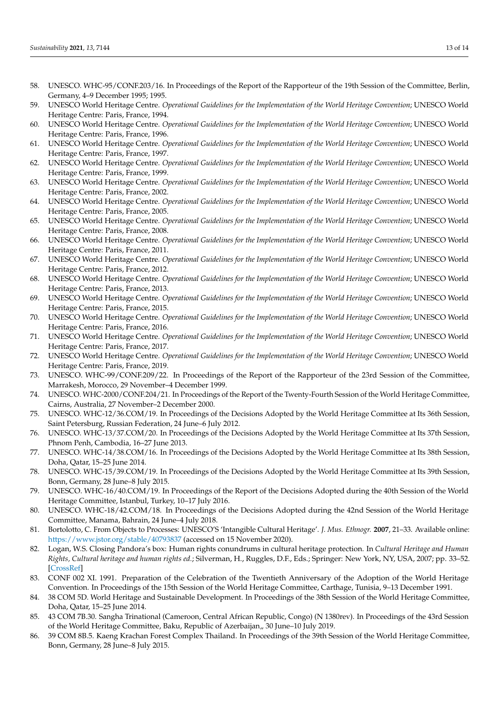- <span id="page-12-0"></span>58. UNESCO. WHC-95/CONF.203/16. In Proceedings of the Report of the Rapporteur of the 19th Session of the Committee, Berlin, Germany, 4–9 December 1995; 1995.
- <span id="page-12-1"></span>59. UNESCO World Heritage Centre. *Operational Guidelines for the Implementation of the World Heritage Convention*; UNESCO World Heritage Centre: Paris, France, 1994.
- <span id="page-12-2"></span>60. UNESCO World Heritage Centre. *Operational Guidelines for the Implementation of the World Heritage Convention*; UNESCO World Heritage Centre: Paris, France, 1996.
- 61. UNESCO World Heritage Centre. *Operational Guidelines for the Implementation of the World Heritage Convention*; UNESCO World Heritage Centre: Paris, France, 1997.
- 62. UNESCO World Heritage Centre. Operational Guidelines for the Implementation of the World Heritage Convention; UNESCO World Heritage Centre: Paris, France, 1999.
- 63. UNESCO World Heritage Centre. *Operational Guidelines for the Implementation of the World Heritage Convention*; UNESCO World Heritage Centre: Paris, France, 2002.
- <span id="page-12-4"></span>64. UNESCO World Heritage Centre. *Operational Guidelines for the Implementation of the World Heritage Convention*; UNESCO World Heritage Centre: Paris, France, 2005.
- 65. UNESCO World Heritage Centre. *Operational Guidelines for the Implementation of the World Heritage Convention*; UNESCO World Heritage Centre: Paris, France, 2008.
- 66. UNESCO World Heritage Centre. *Operational Guidelines for the Implementation of the World Heritage Convention*; UNESCO World Heritage Centre: Paris, France, 2011.
- 67. UNESCO World Heritage Centre. *Operational Guidelines for the Implementation of the World Heritage Convention*; UNESCO World Heritage Centre: Paris, France, 2012.
- 68. UNESCO World Heritage Centre. *Operational Guidelines for the Implementation of the World Heritage Convention*; UNESCO World Heritage Centre: Paris, France, 2013.
- <span id="page-12-7"></span>69. UNESCO World Heritage Centre. *Operational Guidelines for the Implementation of the World Heritage Convention*; UNESCO World Heritage Centre: Paris, France, 2015.
- 70. UNESCO World Heritage Centre. *Operational Guidelines for the Implementation of the World Heritage Convention*; UNESCO World Heritage Centre: Paris, France, 2016.
- 71. UNESCO World Heritage Centre. *Operational Guidelines for the Implementation of the World Heritage Convention*; UNESCO World Heritage Centre: Paris, France, 2017.
- <span id="page-12-3"></span>72. UNESCO World Heritage Centre. *Operational Guidelines for the Implementation of the World Heritage Convention*; UNESCO World Heritage Centre: Paris, France, 2019.
- <span id="page-12-5"></span>73. UNESCO. WHC-99/CONF.209/22. In Proceedings of the Report of the Rapporteur of the 23rd Session of the Committee, Marrakesh, Morocco, 29 November–4 December 1999.
- <span id="page-12-6"></span>74. UNESCO. WHC-2000/CONF.204/21. In Proceedings of the Report of the Twenty-Fourth Session of the World Heritage Committee, Cairns, Australia, 27 November–2 December 2000.
- <span id="page-12-8"></span>75. UNESCO. WHC-12/36.COM/19. In Proceedings of the Decisions Adopted by the World Heritage Committee at Its 36th Session, Saint Petersburg, Russian Federation, 24 June–6 July 2012.
- <span id="page-12-9"></span>76. UNESCO. WHC-13/37.COM/20. In Proceedings of the Decisions Adopted by the World Heritage Committee at Its 37th Session, Phnom Penh, Cambodia, 16–27 June 2013.
- <span id="page-12-10"></span>77. UNESCO. WHC-14/38.COM/16. In Proceedings of the Decisions Adopted by the World Heritage Committee at Its 38th Session, Doha, Qatar, 15–25 June 2014.
- <span id="page-12-11"></span>78. UNESCO. WHC-15/39.COM/19. In Proceedings of the Decisions Adopted by the World Heritage Committee at Its 39th Session, Bonn, Germany, 28 June–8 July 2015.
- <span id="page-12-12"></span>79. UNESCO. WHC-16/40.COM/19. In Proceedings of the Report of the Decisions Adopted during the 40th Session of the World Heritage Committee, Istanbul, Turkey, 10–17 July 2016.
- <span id="page-12-13"></span>80. UNESCO. WHC-18/42.COM/18. In Proceedings of the Decisions Adopted during the 42nd Session of the World Heritage Committee, Manama, Bahrain, 24 June–4 July 2018.
- <span id="page-12-14"></span>81. Bortolotto, C. From Objects to Processes: UNESCO'S 'Intangible Cultural Heritage'. *J. Mus. Ethnogr.* **2007**, 21–33. Available online: <https://www.jstor.org/stable/40793837> (accessed on 15 November 2020).
- <span id="page-12-15"></span>82. Logan, W.S. Closing Pandora's box: Human rights conundrums in cultural heritage protection. In *Cultural Heritage and Human Rights, Cultural heritage and human rights ed.*; Silverman, H., Ruggles, D.F., Eds.; Springer: New York, NY, USA, 2007; pp. 33–52. [\[CrossRef\]](http://doi.org/10.1007/978-0-387-71313-7_2)
- <span id="page-12-16"></span>83. CONF 002 XI. 1991. Preparation of the Celebration of the Twentieth Anniversary of the Adoption of the World Heritage Convention. In Proceedings of the 15th Session of the World Heritage Committee, Carthage, Tunisia, 9–13 December 1991.
- 84. 38 COM 5D. World Heritage and Sustainable Development. In Proceedings of the 38th Session of the World Heritage Committee, Doha, Qatar, 15–25 June 2014.
- 85. 43 COM 7B.30. Sangha Trinational (Cameroon, Central African Republic, Congo) (N 1380rev). In Proceedings of the 43rd Session of the World Heritage Committee, Baku, Republic of Azerbaijan,, 30 June–10 July 2019.
- 86. 39 COM 8B.5. Kaeng Krachan Forest Complex Thailand. In Proceedings of the 39th Session of the World Heritage Committee, Bonn, Germany, 28 June–8 July 2015.